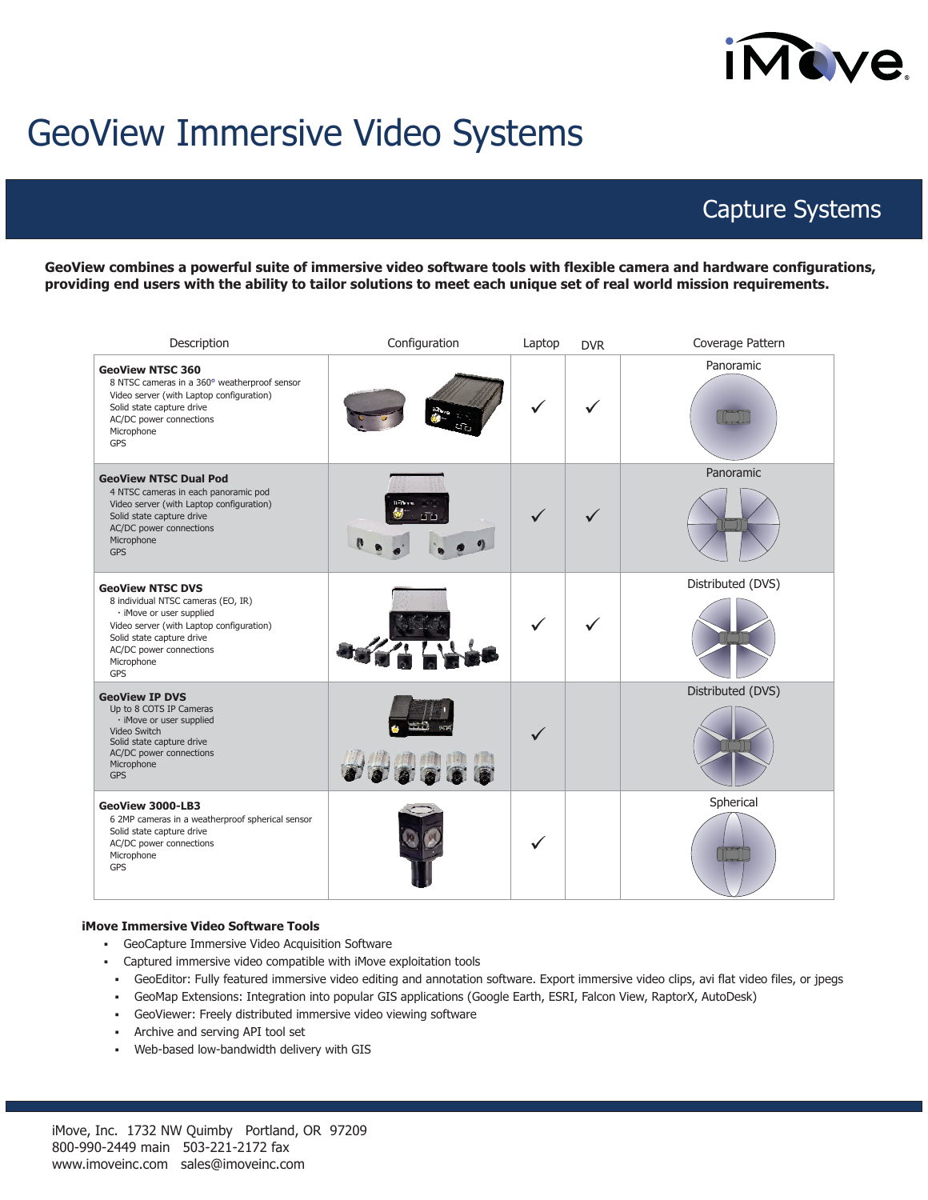# **IMOVE**

## GeoView Immersive Video Systems

### Capture Systems

**GeoView combines a powerful suite of immersive video software tools with flexible camera and hardware configurations, providing end users with the ability to tailor solutions to meet each unique set of real world mission requirements.**

| Description                                                                                                                                                                                                        | Configuration | Laptop       | <b>DVR</b>   | Coverage Pattern  |
|--------------------------------------------------------------------------------------------------------------------------------------------------------------------------------------------------------------------|---------------|--------------|--------------|-------------------|
| <b>GeoView NTSC 360</b><br>8 NTSC cameras in a 360° weatherproof sensor<br>Video server (with Laptop configuration)<br>Solid state capture drive<br>AC/DC power connections<br>Microphone<br>GPS                   |               |              |              | Panoramic         |
| <b>GeoView NTSC Dual Pod</b><br>4 NTSC cameras in each panoramic pod<br>Video server (with Laptop configuration)<br>Solid state capture drive<br>AC/DC power connections<br>Microphone<br><b>GPS</b>               |               | $\checkmark$ | $\checkmark$ | Panoramic         |
| <b>GeoView NTSC DVS</b><br>8 individual NTSC cameras (EO, IR)<br>· iMove or user supplied<br>Video server (with Laptop configuration)<br>Solid state capture drive<br>AC/DC power connections<br>Microphone<br>GPS |               | $\checkmark$ |              | Distributed (DVS) |
| <b>GeoView IP DVS</b><br>Up to 8 COTS IP Cameras<br>· iMove or user supplied<br>Video Switch<br>Solid state capture drive<br>AC/DC power connections<br>Microphone<br><b>GPS</b>                                   |               | $\checkmark$ |              | Distributed (DVS) |
| GeoView 3000-LB3<br>6 2MP cameras in a weatherproof spherical sensor<br>Solid state capture drive<br>AC/DC power connections<br>Microphone<br><b>GPS</b>                                                           |               | $\checkmark$ |              | Spherical         |

#### **iMove Immersive Video Software Tools**

- GeoCapture Immersive Video Acquisition Software
- Captured immersive video compatible with iMove exploitation tools
- GeoEditor: Fully featured immersive video editing and annotation software. Export immersive video clips, avi flat video files, or jpegs
- GeoMap Extensions: Integration into popular GIS applications (Google Earth, ESRI, Falcon View, RaptorX, AutoDesk)
- GeoViewer: Freely distributed immersive video viewing software
- Archive and serving API tool set
- Web-based low-bandwidth delivery with GIS